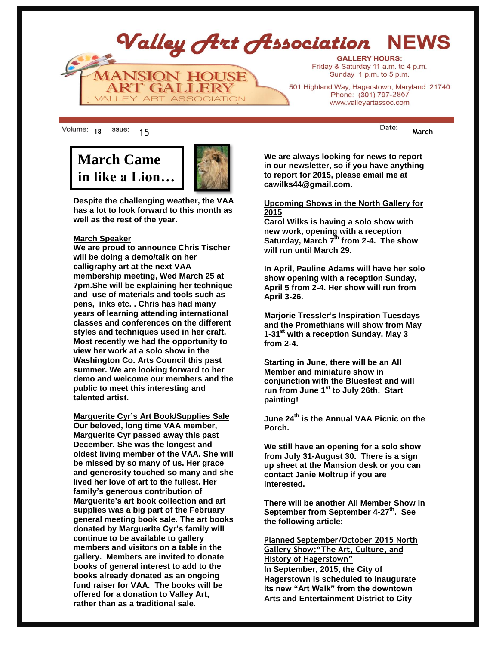Valley Art Association **NFWS GALLERY HOURS:** Friday & Saturday 11 a.m. to 4 p.m. **ANSION HOUSE** Sunday 1 p.m. to 5 p.m. **RT GALLERY** 501 Highland Way, Hagerstown, Maryland 21740 Phone: (301) 797-2867 ALLEY ART ASSOCIATION www.valleyartassoc.com

18 <sup>ISSUE:</sup> 15 March

# **March Came in like a Lion…**



**Despite the challenging weather, the VAA has a lot to look forward to this month as well as the rest of the year.**

#### **March Speaker**

**We are proud to announce Chris Tischer will be doing a demo/talk on her calligraphy art at the next VAA membership meeting, Wed March 25 at 7pm.She will be explaining her technique and use of materials and tools such as pens, inks etc. . Chris has had many years of learning attending international classes and conferences on the different styles and techniques used in her craft. Most recently we had the opportunity to view her work at a solo show in the Washington Co. Arts Council this past summer. We are looking forward to her demo and welcome our members and the public to meet this interesting and talented artist.** 

**Marguerite Cyr's Art Book/Supplies Sale Our beloved, long time VAA member, Marguerite Cyr passed away this past December. She was the longest and oldest living member of the VAA. She will be missed by so many of us. Her grace and generosity touched so many and she lived her love of art to the fullest. Her family's generous contribution of Marguerite's art book collection and art supplies was a big part of the February general meeting book sale. The art books donated by Marguerite Cyr's family will continue to be available to gallery members and visitors on a table in the gallery. Members are invited to donate books of general interest to add to the books already donated as an ongoing fund raiser for VAA. The books will be offered for a donation to Valley Art, rather than as a traditional sale.** 

**We are always looking for news to report in our newsletter, so if you have anything to report for 2015, please email me at cawilks44@gmail.com.**

#### **Upcoming Shows in the North Gallery for 2015**

**Carol Wilks is having a solo show with new work, opening with a reception Saturday, March 7 th from 2-4. The show will run until March 29.**

**In April, Pauline Adams will have her solo show opening with a reception Sunday, April 5 from 2-4. Her show will run from April 3-26.**

**Marjorie Tressler's Inspiration Tuesdays and the Promethians will show from May 1-31st with a reception Sunday, May 3 from 2-4.**

**Starting in June, there will be an All Member and miniature show in conjunction with the Bluesfest and will run from June 1st to July 26th. Start painting!**

**June 24th is the Annual VAA Picnic on the Porch.** 

**We still have an opening for a solo show from July 31-August 30. There is a sign up sheet at the Mansion desk or you can contact Janie Moltrup if you are interested.**

**There will be another All Member Show in September from September 4-27th . See the following article:**

**Planned September/October 2015 North Gallery Show:"The Art, Culture, and History of Hagerstown" In September, 2015, the City of Hagerstown is scheduled to inaugurate its new "Art Walk" from the downtown Arts and Entertainment District to City**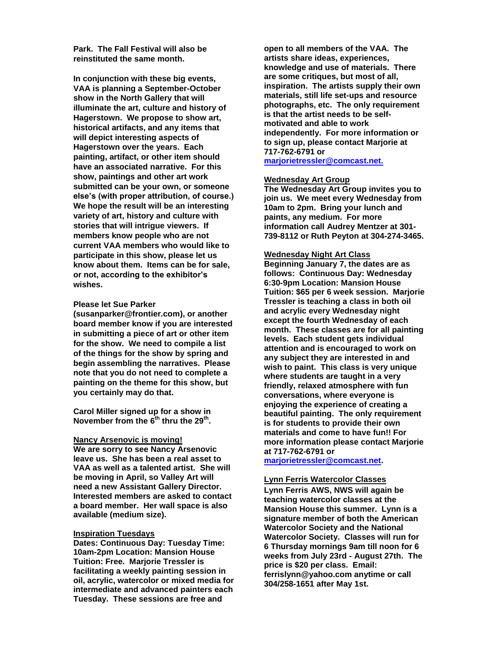**Park. The Fall Festival will also be reinstituted the same month.** 

**In conjunction with these big events, VAA is planning a September-October show in the North Gallery that will illuminate the art, culture and history of Hagerstown. We propose to show art, historical artifacts, and any items that will depict interesting aspects of Hagerstown over the years. Each painting, artifact, or other item should have an associated narrative. For this show, paintings and other art work submitted can be your own, or someone else's (with proper attribution, of course.) We hope the result will be an interesting variety of art, history and culture with stories that will intrigue viewers. If members know people who are not current VAA members who would like to participate in this show, please let us know about them. Items can be for sale, or not, according to the exhibitor's wishes.**

#### **Please let Sue Parker**

**[\(susanparker@frontier.com\)](mailto:susanparker@frontier.com), or another board member know if you are interested in submitting a piece of art or other item for the show. We need to compile a list of the things for the show by spring and begin assembling the narratives. Please note that you do not need to complete a painting on the theme for this show, but you certainly may do that.**

**Carol Miller signed up for a show in November from the 6th thru the 29th .**

#### **Nancy Arsenovic is moving!**

**We are sorry to see Nancy Arsenovic leave us. She has been a real asset to VAA as well as a talented artist. She will be moving in April, so Valley Art will need a new Assistant Gallery Director. Interested members are asked to contact a board member. Her wall space is also available (medium size).**

#### **Inspiration Tuesdays**

**Dates: Continuous Day: Tuesday Time: 10am-2pm Location: Mansion House Tuition: Free. Marjorie Tressler is facilitating a weekly painting session in oil, acrylic, watercolor or mixed media for intermediate and advanced painters each Tuesday. These sessions are free and** 

**open to all members of the VAA. The artists share ideas, experiences, knowledge and use of materials. There are some critiques, but most of all, inspiration. The artists supply their own materials, still life set-ups and resource photographs, etc. The only requirement is that the artist needs to be selfmotivated and able to work independently. For more information or to sign up, please contact Marjorie at 717-762-6791 or marjorietressler@comcast.net.**

#### **Wednesday Art Group**

**The Wednesday Art Group invites you to join us. We meet every Wednesday from 10am to 2pm. Bring your lunch and paints, any medium. For more information call Audrey Mentzer at 301- 739-8112 or Ruth Peyton at 304-274-3465.**

#### **Wednesday Night Art Class**

**Beginning January 7, the dates are as follows: Continuous Day: Wednesday 6:30-9pm Location: Mansion House Tuition: \$65 per 6 week session. Marjorie Tressler is teaching a class in both oil and acrylic every Wednesday night except the fourth Wednesday of each month. These classes are for all painting levels. Each student gets individual attention and is encouraged to work on any subject they are interested in and wish to paint. This class is very unique where students are taught in a very friendly, relaxed atmosphere with fun conversations, where everyone is enjoying the experience of creating a beautiful painting. The only requirement is for students to provide their own materials and come to have fun!! For more information please contact Marjorie at 717-762-6791 or** 

**[marjorietressler@comcast.net.](mailto:marjorietressler@comcast.net)**

#### **Lynn Ferris Watercolor Classes**

**Lynn Ferris AWS, NWS will again be teaching watercolor classes at the Mansion House this summer. Lynn is a signature member of both the American Watercolor Society and the National Watercolor Society. Classes will run for 6 Thursday mornings 9am till noon for 6 weeks from July 23rd - August 27th. The price is \$20 per class. Email: ferrislynn@yahoo.com anytime or call 304/258-1651 after May 1st.**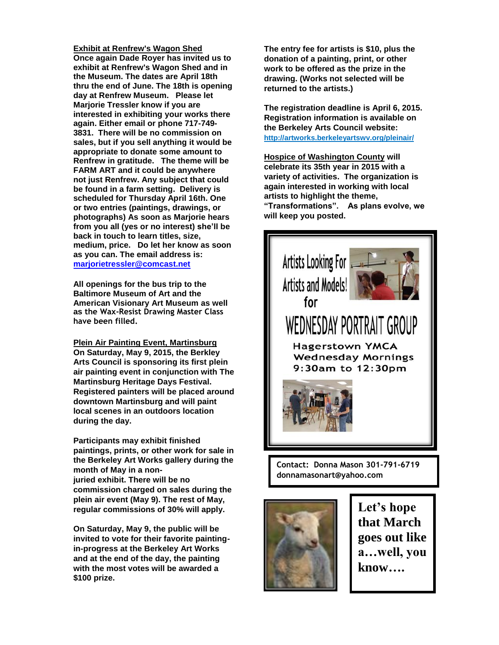**Exhibit at Renfrew's Wagon Shed Once again Dade Royer has invited us to exhibit at Renfrew's Wagon Shed and in the Museum. The dates are April 18th thru the end of June. The 18th is opening day at Renfrew Museum. Please let Marjorie Tressler know if you are interested in exhibiting your works there again. Either email or phone 717-749- 3831. There will be no commission on sales, but if you sell anything it would be appropriate to donate some amount to Renfrew in gratitude. The theme will be FARM ART and it could be anywhere not just Renfrew. Any subject that could be found in a farm setting. Delivery is scheduled for Thursday April 16th. One or two entries (paintings, drawings, or photographs) As soon as Marjorie hears from you all (yes or no interest) she'll be back in touch to learn titles, size, medium, price. Do let her know as soon as you can. The email address is: [marjorietressler@comcast.net](mailto:dbec100@egmbarqmail.com)**

**All openings for the bus trip to the Baltimore Museum of Art and the American Visionary Art Museum as well as the Wax-Resist Drawing Master Class have been filled.**

**Plein Air Painting Event, Martinsburg On Saturday, May 9, 2015, the Berkley Arts Council is sponsoring its first plein air painting event in conjunction with The Martinsburg Heritage Days Festival. Registered painters will be placed around downtown Martinsburg and will paint local scenes in an outdoors location during the day.** 

**Participants may exhibit finished paintings, prints, or other work for sale in the Berkeley Art Works gallery during the month of May in a nonjuried exhibit. There will be no commission charged on sales during the plein air event (May 9). The rest of May, regular commissions of 30% will apply.**

**On Saturday, May 9, the public will be invited to vote for their favorite paintingin-progress at the Berkeley Art Works and at the end of the day, the painting with the most votes will be awarded a \$100 prize.**

**The entry fee for artists is \$10, plus the donation of a painting, print, or other work to be offered as the prize in the drawing. (Works not selected will be returned to the artists.)**

**The registration deadline is April 6, 2015. Registration information is available on the Berkeley Arts Council website: http://artworks.berkeleyartswv.org/pleinair/**

**Hospice of Washington County will celebrate its 35th year in 2015 with a variety of activities. The organization is again interested in working with local artists to highlight the theme, "Transformations". As plans evolve, we will keep you posted.**



**Contact: Donna Mason 301-791-6719 donnamasonart@yahoo.com**



**Let's hope that March goes out like a…well, you know….**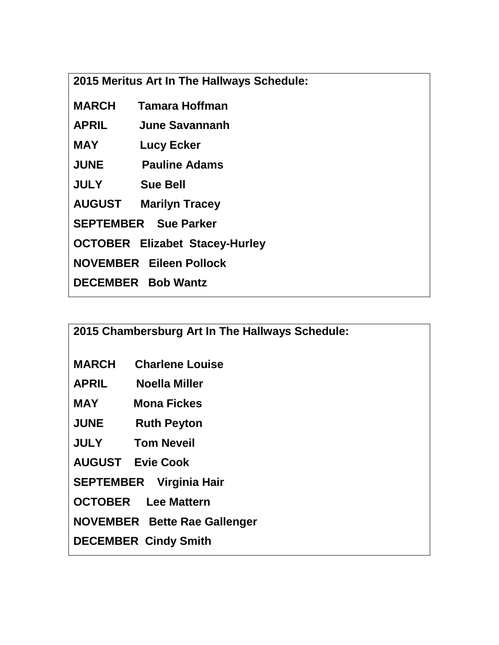**2015 Meritus Art In The Hallways Schedule:**

| <b>MARCH</b> | Tamara Hoffman                        |
|--------------|---------------------------------------|
| <b>APRIL</b> | June Savannanh                        |
| <b>MAY</b>   | <b>Lucy Ecker</b>                     |
| <b>JUNE</b>  | <b>Pauline Adams</b>                  |
| <b>JULY</b>  | <b>Sue Bell</b>                       |
|              | <b>AUGUST Marilyn Tracey</b>          |
|              | <b>SEPTEMBER</b> Sue Parker           |
|              | <b>OCTOBER Elizabet Stacey-Hurley</b> |
|              | <b>NOVEMBER Eileen Pollock</b>        |
|              | <b>DECEMBER</b> Bob Wantz             |

**2015 Chambersburg Art In The Hallways Schedule:**

- **MARCH Charlene Louise**
- **APRIL Noella Miller**
- **MAY Mona Fickes**
- **JUNE Ruth Peyton**
- **JULY Tom Neveil**

**AUGUST Evie Cook**

**SEPTEMBER Virginia Hair**

**OCTOBER Lee Mattern**

**NOVEMBER Bette Rae Gallenger**

**DECEMBER Cindy Smith**